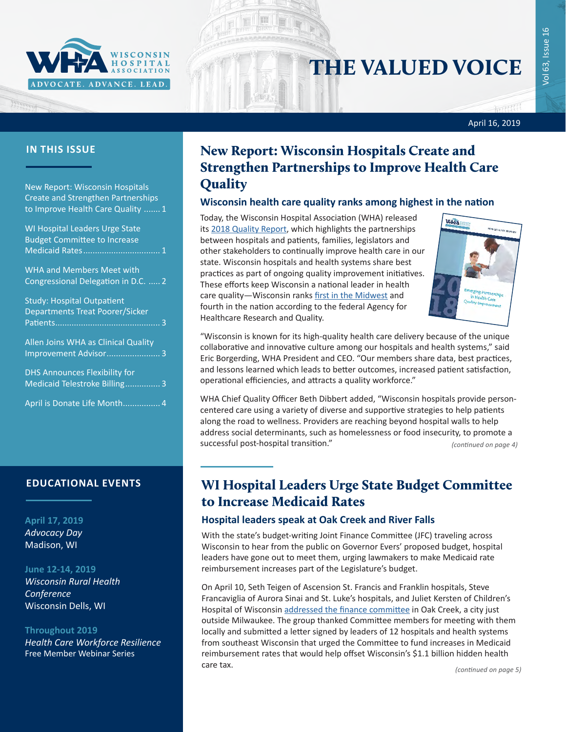

# THE VALUED VOICE

April 16, 2019

New Report: Wisconsin Hospitals Create and Strengthen Partnerships to Improve Health Care Quality ....... 1

WI Hospital Leaders Urge State Budget Committee to Increase Medicaid Rates................................. 1

[WHA and Members Meet with](#page-1-0)  [Congressional Delegation in D.C.](#page-1-0) ..... 2

| <b>Study: Hospital Outpatient</b>      |
|----------------------------------------|
| <b>Departments Treat Poorer/Sicker</b> |
|                                        |
| Allen Joins WHA as Clinical Quality    |
| Improvement Advisor 3                  |
| <b>DHS Announces Flexibility for</b>   |
| Medicaid Telestroke Billing 3          |
| April is Donate Life Month 4           |

#### **EDUCATIONAL EVENTS**

#### **April 17, 2019** *[Advocacy Day](http://www.whareg4.org/AdvocacyDay2019/)* Madison, WI

#### **June 12-14, 2019**

*[Wisconsin Rural Health](http://www.cvent.com/d/b6q37j)  [Conference](http://www.cvent.com/d/b6q37j)* Wisconsin Dells, WI

#### **Throughout 2019**

*[Health Care Workforce Resilience](http://www.whareg4.org/WorkforceResilience/)* Free Member Webinar Series

### **IN THIS ISSUE** New Report: Wisconsin Hospitals Create and Strengthen Partnerships to Improve Health Care **Quality**

#### **Wisconsin health care quality ranks among highest in the nation**

Today, the Wisconsin Hospital Association (WHA) released its [2018 Quality Report](https://www.wha.org/WisconsinHospitalAssociation/media/WHA-Reports/2018qualityReport.pdf), which highlights the partnerships between hospitals and patients, families, legislators and other stakeholders to continually improve health care in our state. Wisconsin hospitals and health systems share best practices as part of ongoing quality improvement initiatives. These efforts keep Wisconsin a national leader in health care quality—Wisconsin ranks [first in the Midwest](https://www.wha.org/MediaRoom/WHAPressReleases/2018/WHArelease-AHRQrankings_09-24-2018) and fourth in the nation according to the federal Agency for Healthcare Research and Quality.



"Wisconsin is known for its high-quality health care delivery because of the unique collaborative and innovative culture among our hospitals and health systems," said Eric Borgerding, WHA President and CEO. "Our members share data, best practices, and lessons learned which leads to better outcomes, increased patient satisfaction, operational efficiencies, and attracts a quality workforce."

WHA Chief Quality Officer Beth Dibbert added, "Wisconsin hospitals provide personcentered care using a variety of diverse and supportive strategies to help patients along the road to wellness. Providers are reaching beyond hospital walls to help address social determinants, such as homelessness or food insecurity, to promote a successful post-hospital transition." *(continued on page 4)*

### WI Hospital Leaders Urge State Budget Committee to Increase Medicaid Rates

#### **Hospital leaders speak at Oak Creek and River Falls**

With the state's budget-writing Joint Finance Committee (JFC) traveling across Wisconsin to hear from the public on Governor Evers' proposed budget, hospital leaders have gone out to meet them, urging lawmakers to make Medicaid rate reimbursement increases part of the Legislature's budget.

On April 10, Seth Teigen of Ascension St. Francis and Franklin hospitals, Steve Francaviglia of Aurora Sinai and St. Luke's hospitals, and Juliet Kersten of Children's Hospital of Wisconsin [addressed the finance committee](https://wiseye.org/2019/04/10/joint-committee-on-finance-budget-2019-public-hearing-in-oak-creek/?startStreamAt=5881) in Oak Creek, a city just outside Milwaukee. The group thanked Committee members for meeting with them locally and submitted a letter signed by leaders of 12 hospitals and health systems from southeast Wisconsin that urged the Committee to fund increases in Medicaid reimbursement rates that would help offset Wisconsin's \$1.1 billion hidden health care tax.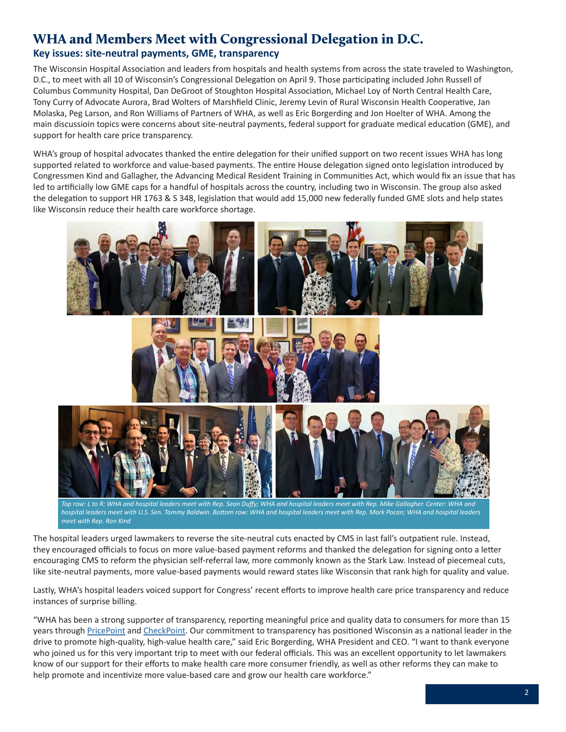### <span id="page-1-0"></span>WHA and Members Meet with Congressional Delegation in D.C.

### **Key issues: site-neutral payments, GME, transparency**

The Wisconsin Hospital Association and leaders from hospitals and health systems from across the state traveled to Washington, D.C., to meet with all 10 of Wisconsin's Congressional Delegation on April 9. Those participating included John Russell of Columbus Community Hospital, Dan DeGroot of Stoughton Hospital Association, Michael Loy of North Central Health Care, Tony Curry of Advocate Aurora, Brad Wolters of Marshfield Clinic, Jeremy Levin of Rural Wisconsin Health Cooperative, Jan Molaska, Peg Larson, and Ron Williams of Partners of WHA, as well as Eric Borgerding and Jon Hoelter of WHA. Among the main discussioin topics were concerns about site-neutral payments, federal support for graduate medical education (GME), and support for health care price transparency.

WHA's group of hospital advocates thanked the entire delegation for their unified support on two recent issues WHA has long supported related to workforce and value-based payments. The entire House delegation signed onto legislation introduced by Congressmen Kind and Gallagher, the Advancing Medical Resident Training in Communities Act, which would fix an issue that has led to artificially low GME caps for a handful of hospitals across the country, including two in Wisconsin. The group also asked the delegation to support HR 1763 & S 348, legislation that would add 15,000 new federally funded GME slots and help states like Wisconsin reduce their health care workforce shortage.



*Top row: L to R: WHA and hospital leaders meet with Rep. Sean Duffy; WHA and hospital leaders meet with Rep. Mike Gallagher. Center: WHA and hospital leaders meet with U.S. Sen. Tammy Baldwin. Bottom row: WHA and hospital leaders meet with Rep. Mark Pocan; WHA and hospital leaders meet with Rep. Ron Kind*

The hospital leaders urged lawmakers to reverse the site-neutral cuts enacted by CMS in last fall's outpatient rule. Instead, they encouraged officials to focus on more value-based payment reforms and thanked the delegation for signing onto a letter encouraging CMS to reform the physician self-referral law, more commonly known as the Stark Law. Instead of piecemeal cuts, like site-neutral payments, more value-based payments would reward states like Wisconsin that rank high for quality and value.

Lastly, WHA's hospital leaders voiced support for Congress' recent efforts to improve health care price transparency and reduce instances of surprise billing.

"WHA has been a strong supporter of transparency, reporting meaningful price and quality data to consumers for more than 15 years through [PricePoint](http://www.wipricepoint.org/Home.aspx) and [CheckPoint.](https://www.wicheckpoint.org/Home_main.aspx) Our commitment to transparency has positioned Wisconsin as a national leader in the drive to promote high-quality, high-value health care," said Eric Borgerding, WHA President and CEO. "I want to thank everyone who joined us for this very important trip to meet with our federal officials. This was an excellent opportunity to let lawmakers know of our support for their efforts to make health care more consumer friendly, as well as other reforms they can make to help promote and incentivize more value-based care and grow our health care workforce."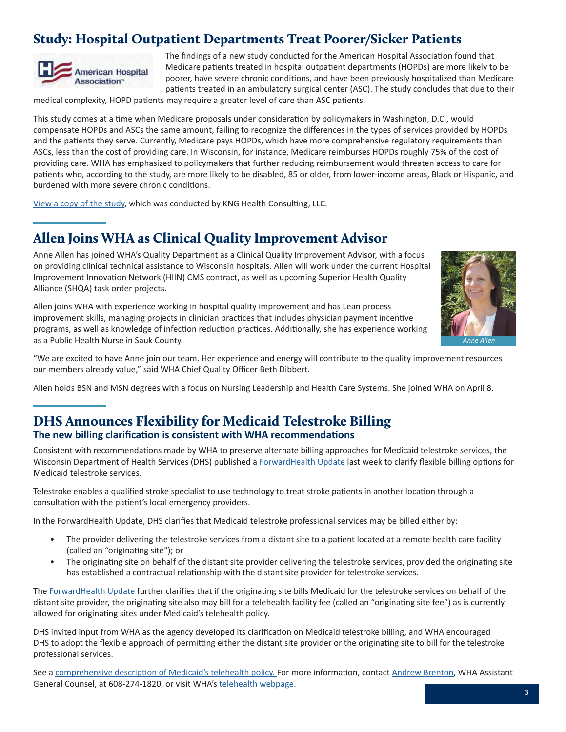## <span id="page-2-0"></span>Study: Hospital Outpatient Departments Treat Poorer/Sicker Patients



The findings of a new study conducted for the American Hospital Association found that Medicare patients treated in hospital outpatient departments (HOPDs) are more likely to be poorer, have severe chronic conditions, and have been previously hospitalized than Medicare patients treated in an ambulatory surgical center (ASC). The study concludes that due to their

medical complexity, HOPD patients may require a greater level of care than ASC patients.

This study comes at a time when Medicare proposals under consideration by policymakers in Washington, D.C., would compensate HOPDs and ASCs the same amount, failing to recognize the differences in the types of services provided by HOPDs and the patients they serve. Currently, Medicare pays HOPDs, which have more comprehensive regulatory requirements than ASCs, less than the cost of providing care. In Wisconsin, for instance, Medicare reimburses HOPDs roughly 75% of the cost of providing care. WHA has emphasized to policymakers that further reducing reimbursement would threaten access to care for patients who, according to the study, are more likely to be disabled, 85 or older, from lower-income areas, Black or Hispanic, and burdened with more severe chronic conditions.

[View a copy of the study,](https://www.aha.org/system/files/media/file/2019/04/kng-health-aha-analysis-of-hopd-vs-asc-report.pdf) which was conducted by KNG Health Consulting, LLC.

### Allen Joins WHA as Clinical Quality Improvement Advisor

Anne Allen has joined WHA's Quality Department as a Clinical Quality Improvement Advisor, with a focus on providing clinical technical assistance to Wisconsin hospitals. Allen will work under the current Hospital Improvement Innovation Network (HIIN) CMS contract, as well as upcoming Superior Health Quality Alliance (SHQA) task order projects.

Allen joins WHA with experience working in hospital quality improvement and has Lean process improvement skills, managing projects in clinician practices that includes physician payment incentive programs, as well as knowledge of infection reduction practices. Additionally, she has experience working as a Public Health Nurse in Sauk County.



"We are excited to have Anne join our team. Her experience and energy will contribute to the quality improvement resources our members already value," said WHA Chief Quality Officer Beth Dibbert.

Allen holds BSN and MSN degrees with a focus on Nursing Leadership and Health Care Systems. She joined WHA on April 8.

### DHS Announces Flexibility for Medicaid Telestroke Billing **The new billing clarification is consistent with WHA recommendations**

Consistent with recommendations made by WHA to preserve alternate billing approaches for Medicaid telestroke services, the Wisconsin Department of Health Services (DHS) published a [ForwardHealth Update](https://www.forwardhealth.wi.gov/kw/pdf/2019-12.pdf) last week to clarify flexible billing options for Medicaid telestroke services.

Telestroke enables a qualified stroke specialist to use technology to treat stroke patients in another location through a consultation with the patient's local emergency providers.

In the ForwardHealth Update, DHS clarifies that Medicaid telestroke professional services may be billed either by:

- The provider delivering the telestroke services from a distant site to a patient located at a remote health care facility (called an "originating site"); or
- The originating site on behalf of the distant site provider delivering the telestroke services, provided the originating site has established a contractual relationship with the distant site provider for telestroke services.

The [ForwardHealth Update](https://www.forwardhealth.wi.gov/kw/pdf/2019-12.pdf) further clarifies that if the originating site bills Medicaid for the telestroke services on behalf of the distant site provider, the originating site also may bill for a telehealth facility fee (called an "originating site fee") as is currently allowed for originating sites under Medicaid's telehealth policy.

DHS invited input from WHA as the agency developed its clarification on Medicaid telestroke billing, and WHA encouraged DHS to adopt the flexible approach of permitting either the distant site provider or the originating site to bill for the telestroke professional services.

See a [comprehensive description of Medicaid's telehealth policy](https://www.forwardhealth.wi.gov/kw/pdf/2017-25.pdf). For more information, contact [Andrew Brenton](mailto:abrenton@wha.org), WHA Assistant General Counsel, at 608-274-1820, or visit WHA's [telehealth webpage.](https://www.wha.org/HealthCareTopics/T/Telehealth)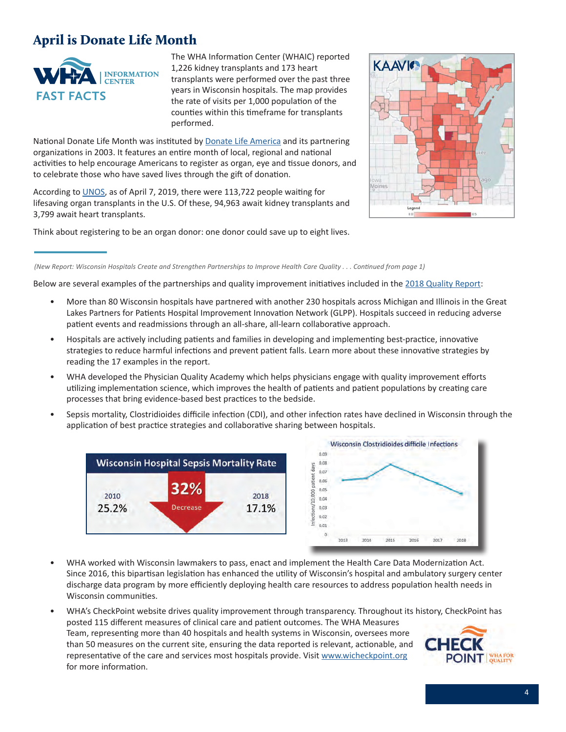### <span id="page-3-0"></span>April is Donate Life Month



The WHA Information Center (WHAIC) reported 1,226 kidney transplants and 173 heart transplants were performed over the past three years in Wisconsin hospitals. The map provides the rate of visits per 1,000 population of the counties within this timeframe for transplants performed.

National Donate Life Month was instituted by [Donate Life America](https://www.donatelife.net/) and its partnering organizations in 2003. It features an entire month of local, regional and national activities to help encourage Americans to register as organ, eye and tissue donors, and to celebrate those who have saved lives through the gift of donation.

According to [UNOS](https://unos.org/), as of April 7, 2019, there were 113,722 people waiting for lifesaving organ transplants in the U.S. Of these, 94,963 await kidney transplants and 3,799 await heart transplants.

Think about registering to be an organ donor: one donor could save up to eight lives.



Below are several examples of the partnerships and quality improvement initiatives included in the [2018 Quality Report](https://www.wha.org/WisconsinHospitalAssociation/media/WHA-Reports/2018qualityReport.pdf):

- More than 80 Wisconsin hospitals have partnered with another 230 hospitals across Michigan and Illinois in the Great Lakes Partners for Patients Hospital Improvement Innovation Network (GLPP). Hospitals succeed in reducing adverse patient events and readmissions through an all-share, all-learn collaborative approach.
- Hospitals are actively including patients and families in developing and implementing best-practice, innovative strategies to reduce harmful infections and prevent patient falls. Learn more about these innovative strategies by reading the 17 examples in the report.
- WHA developed the Physician Quality Academy which helps physicians engage with quality improvement efforts utilizing implementation science, which improves the health of patients and patient populations by creating care processes that bring evidence-based best practices to the bedside.
- Sepsis mortality, Clostridioides difficile infection (CDI), and other infection rates have declined in Wisconsin through the application of best practice strategies and collaborative sharing between hospitals.





- WHA worked with Wisconsin lawmakers to pass, enact and implement the Health Care Data Modernization Act. Since 2016, this bipartisan legislation has enhanced the utility of Wisconsin's hospital and ambulatory surgery center discharge data program by more efficiently deploying health care resources to address population health needs in Wisconsin communities.
- WHA's CheckPoint website drives quality improvement through transparency. Throughout its history, CheckPoint has posted 115 different measures of clinical care and patient outcomes. The WHA Measures Team, representing more than 40 hospitals and health systems in Wisconsin, oversees more than 50 measures on the current site, ensuring the data reported is relevant, actionable, and representative of the care and services most hospitals provide. Visit [www.wicheckpoint.org](http://www.wicheckpoint.org) **POINT** WHA FOR for more information.